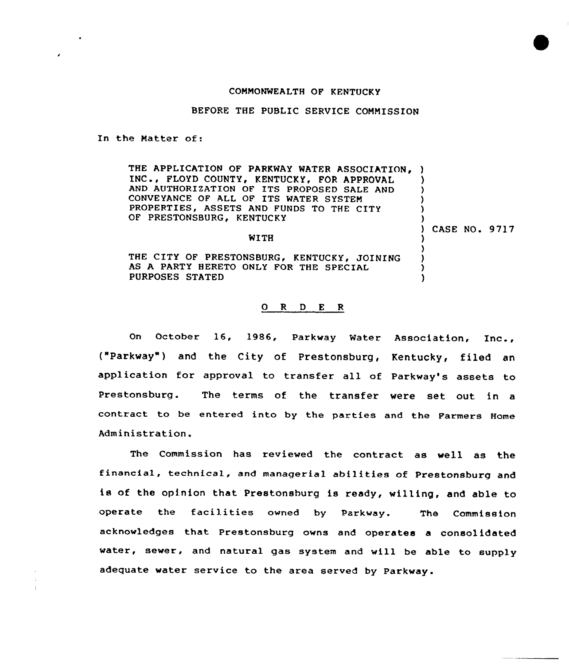## COMNONWEALTH OF KENTUCKY

BEFORE THE PUBLIC SERVICE COMMISSION

In the Natter of:

THE APPLICATION OF PARKWAY WATER ASSOCIATION, ) INC., FLOYD COUNTY, KENTUCKY, FOR APPROVAL AND AUTHORIZATION OF ITS PROPOSED SALE AND CONVEYANCE OF ALL OF ITS WATER SYSTEN PROPERTIES, ASSETS AND FUNDS TO THE CITY OF PRESTONSBURG, KENTUCKY

) CASE NO. 9 /17

) ) 3 ) )

) ) ) ) )

THE CITY OF PRESTONSBURG, KENTUCKY, JOINING AS A PARTY HERETO ONLY FOR THE SPECIAL PURPOSES STATED

WITH

## 0 R <sup>D</sup> E <sup>R</sup>

On October 16, 1986, Parkway Water Association, Inc., ("Parkway") and the City of Prestonsburg, Kentucky, filed an application for approval to transfer all of Parkway's assets to Prestonsburg. The terms of the transfer were set out in a contract to be entered into by the parties and the Farmers Home Administration.

The Commission has reviewed the contract as well as the financial, technical, and managerial abilities of Prestonsburg and is of the opinion that Prestonshurg is ready, willing, and able to operate the facilities owned by Parkway. The Commission acknowledges that Prestonsburg owns and operates a consolidated vater, sewer, and natural gas system and will be able to supply adequate water service to the area served by Parkvay.